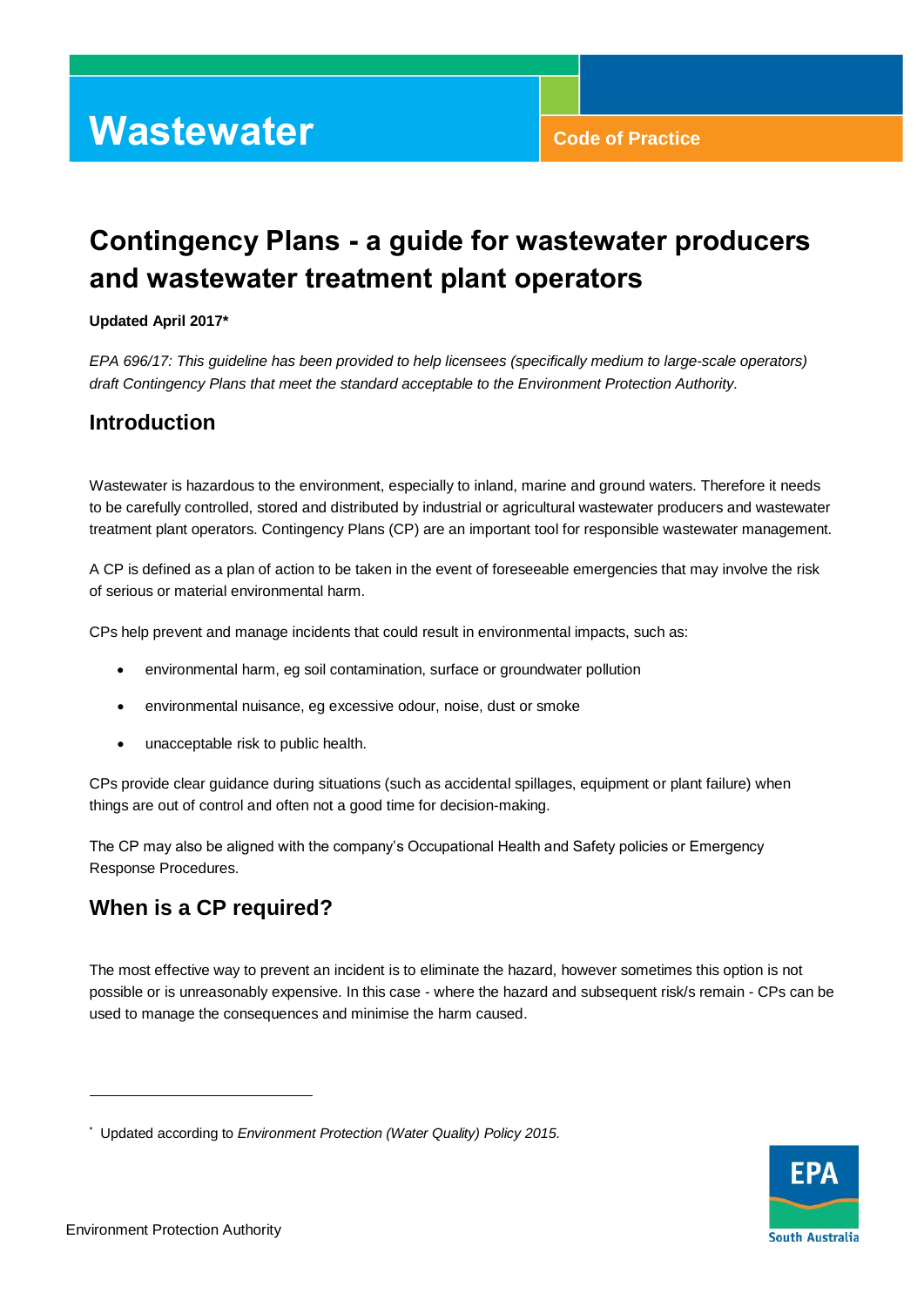#### **Updated April 2017\***

*EPA 696/17: This guideline has been provided to help licensees (specifically medium to large-scale operators) draft Contingency Plans that meet the standard acceptable to the Environment Protection Authority.* 

## **Introduction**

Wastewater is hazardous to the environment, especially to inland, marine and ground waters. Therefore it needs to be carefully controlled, stored and distributed by industrial or agricultural wastewater producers and wastewater treatment plant operators. Contingency Plans (CP) are an important tool for responsible wastewater management.

A CP is defined as a plan of action to be taken in the event of foreseeable emergencies that may involve the risk of serious or material environmental harm.

CPs help prevent and manage incidents that could result in environmental impacts, such as:

- environmental harm, eg soil contamination, surface or groundwater pollution
- environmental nuisance, eg excessive odour, noise, dust or smoke
- unacceptable risk to public health.

CPs provide clear guidance during situations (such as accidental spillages, equipment or plant failure) when things are out of control and often not a good time for decision-making.

The CP may also be aligned with the company's Occupational Health and Safety policies or Emergency Response Procedures.

## **When is a CP required?**

The most effective way to prevent an incident is to eliminate the hazard, however sometimes this option is not possible or is unreasonably expensive. In this case - where the hazard and subsequent risk/s remain - CPs can be used to manage the consequences and minimise the harm caused.



l

<sup>\*</sup> Updated according to *Environment Protection (Water Quality) Policy 2015.*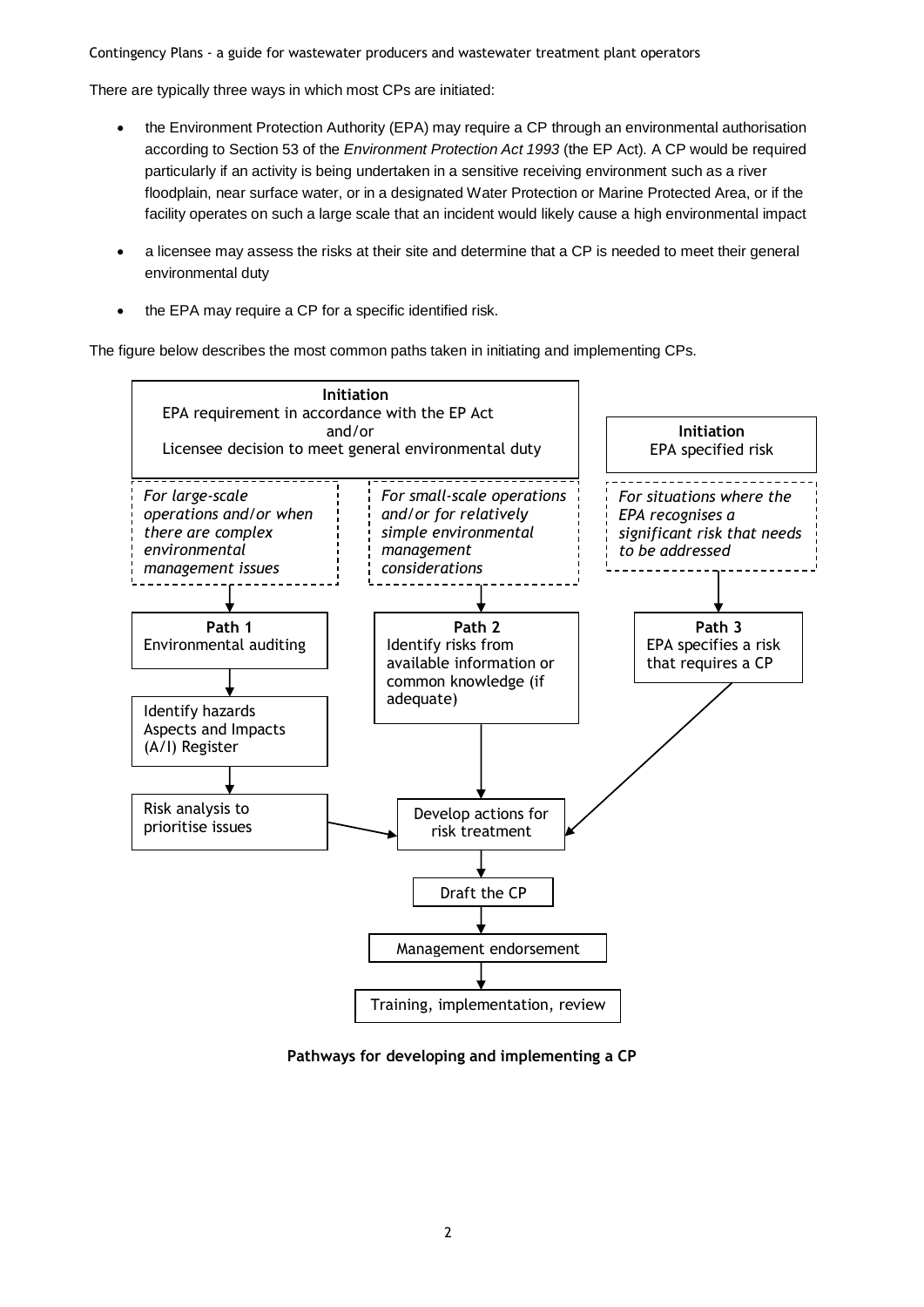There are typically three ways in which most CPs are initiated:

- the Environment Protection Authority (EPA) may require a CP through an environmental authorisation according to Section 53 of the *Environment Protection Act 1993* (the EP Act)*.* A CP would be required particularly if an activity is being undertaken in a sensitive receiving environment such as a river floodplain, near surface water, or in a designated Water Protection or Marine Protected Area, or if the facility operates on such a large scale that an incident would likely cause a high environmental impact
- a licensee may assess the risks at their site and determine that a CP is needed to meet their general environmental duty
- the EPA may require a CP for a specific identified risk.

The figure below describes the most common paths taken in initiating and implementing CPs.



**Pathways for developing and implementing a CP**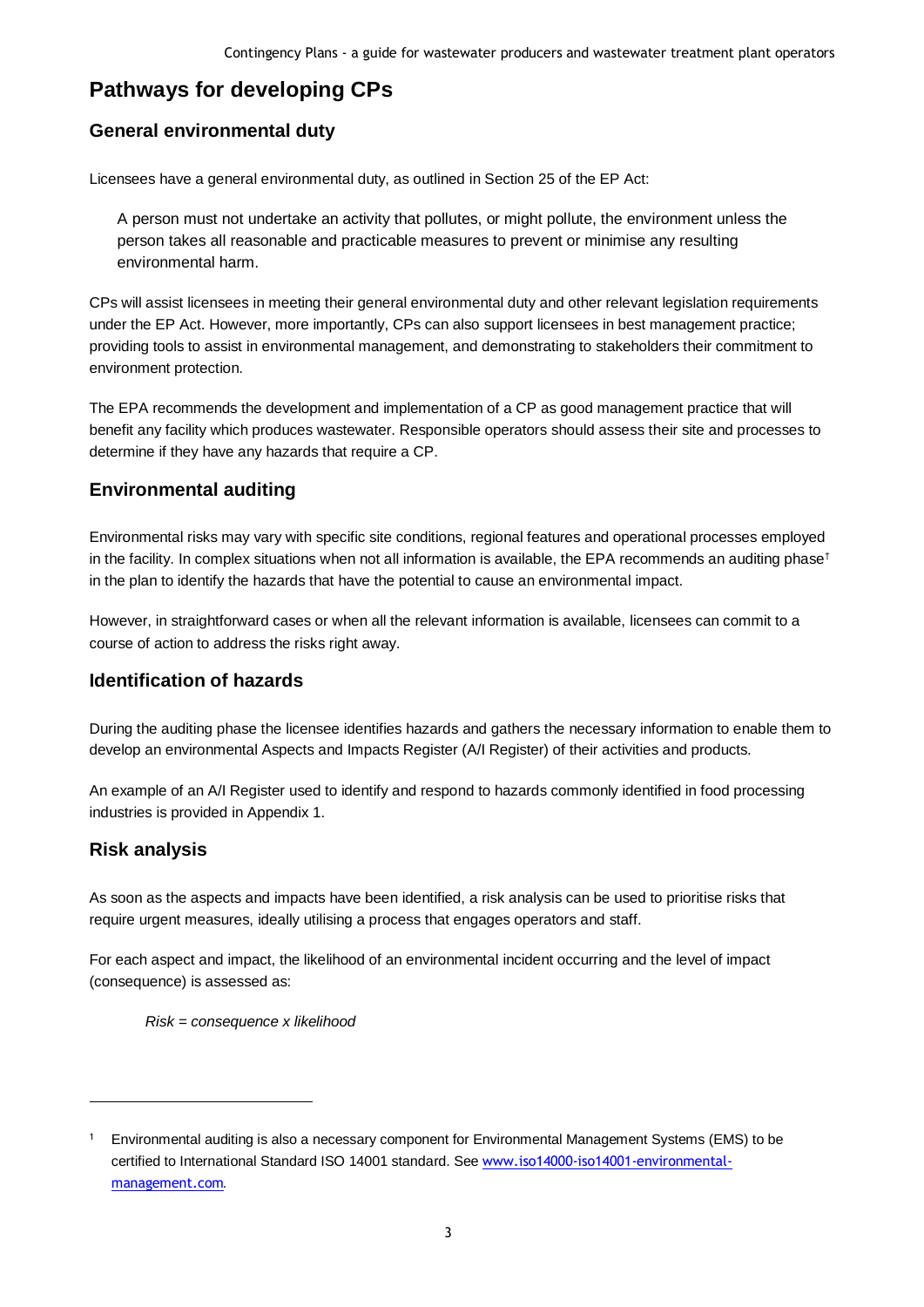## **Pathways for developing CPs**

## **General environmental duty**

Licensees have a general environmental duty, as outlined in Section 25 of the EP Act:

A person must not undertake an activity that pollutes, or might pollute, the environment unless the person takes all reasonable and practicable measures to prevent or minimise any resulting environmental harm.

CPs will assist licensees in meeting their general environmental duty and other relevant legislation requirements under the EP Act. However, more importantly, CPs can also support licensees in best management practice; providing tools to assist in environmental management, and demonstrating to stakeholders their commitment to environment protection.

The EPA recommends the development and implementation of a CP as good management practice that will benefit any facility which produces wastewater. Responsible operators should assess their site and processes to determine if they have any hazards that require a CP.

## **Environmental auditing**

Environmental risks may vary with specific site conditions, regional features and operational processes employed in the facility. In complex situations when not all information is available, the EPA recommends an auditing phase<sup>†</sup> in the plan to identify the hazards that have the potential to cause an environmental impact.

However, in straightforward cases or when all the relevant information is available, licensees can commit to a course of action to address the risks right away.

## **Identification of hazards**

During the auditing phase the licensee identifies hazards and gathers the necessary information to enable them to develop an environmental Aspects and Impacts Register (A/I Register) of their activities and products.

An example of an A/I Register used to identify and respond to hazards commonly identified in food processing industries is provided in Appendix 1.

## **Risk analysis**

l

As soon as the aspects and impacts have been identified, a risk analysis can be used to prioritise risks that require urgent measures, ideally utilising a process that engages operators and staff.

For each aspect and impact, the likelihood of an environmental incident occurring and the level of impact (consequence) is assessed as:

*Risk = consequence x likelihood*

<sup>1</sup> Environmental auditing is also a necessary component for Environmental Management Systems (EMS) to be certified to International Standard ISO 14001 standard. See [www.iso14000-iso14001-environmental](http://www.iso14000-iso14001-environmental-management.com/)[management.com](http://www.iso14000-iso14001-environmental-management.com/)*.*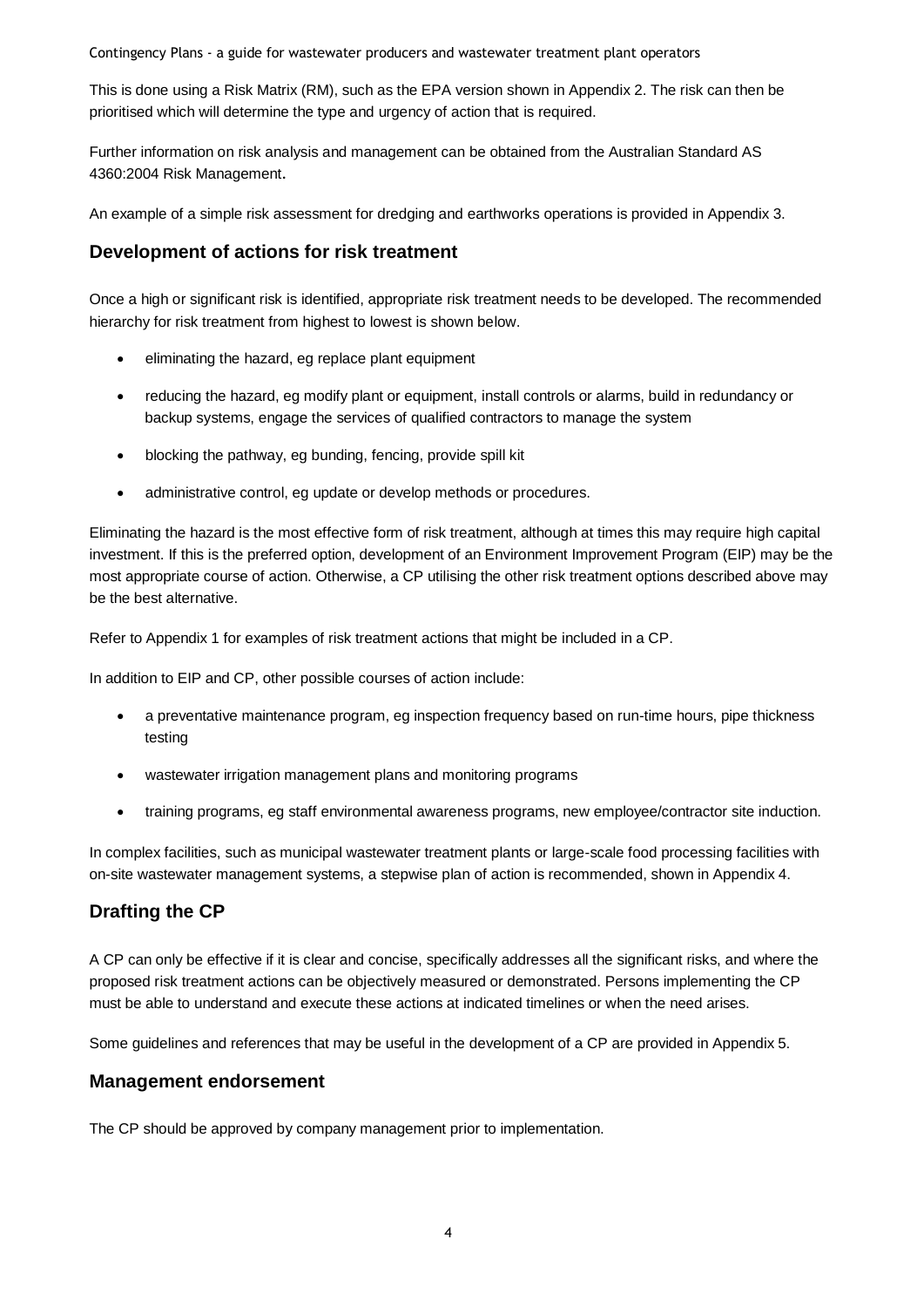This is done using a Risk Matrix (RM), such as the EPA version shown in Appendix 2. The risk can then be prioritised which will determine the type and urgency of action that is required.

Further information on risk analysis and management can be obtained from the Australian Standard AS 4360:2004 Risk Management[.](http://www.riskmanagement.com.au/)

An example of a simple risk assessment for dredging and earthworks operations is provided in Appendix 3.

### **Development of actions for risk treatment**

Once a high or significant risk is identified, appropriate risk treatment needs to be developed. The recommended hierarchy for risk treatment from highest to lowest is shown below.

- eliminating the hazard, eg replace plant equipment
- reducing the hazard, eg modify plant or equipment, install controls or alarms, build in redundancy or backup systems, engage the services of qualified contractors to manage the system
- blocking the pathway, eg bunding, fencing, provide spill kit
- administrative control, eg update or develop methods or procedures.

Eliminating the hazard is the most effective form of risk treatment, although at times this may require high capital investment. If this is the preferred option, development of an Environment Improvement Program (EIP) may be the most appropriate course of action. Otherwise, a CP utilising the other risk treatment options described above may be the best alternative.

Refer to Appendix 1 for examples of risk treatment actions that might be included in a CP.

In addition to EIP and CP, other possible courses of action include:

- a preventative maintenance program, eg inspection frequency based on run-time hours, pipe thickness testing
- wastewater irrigation management plans and monitoring programs
- training programs, eg staff environmental awareness programs, new employee/contractor site induction.

In complex facilities, such as municipal wastewater treatment plants or large-scale food processing facilities with on-site wastewater management systems, a stepwise plan of action is recommended, shown in Appendix 4.

## **Drafting the CP**

A CP can only be effective if it is clear and concise, specifically addresses all the significant risks, and where the proposed risk treatment actions can be objectively measured or demonstrated. Persons implementing the CP must be able to understand and execute these actions at indicated timelines or when the need arises.

Some guidelines and references that may be useful in the development of a CP are provided in Appendix 5.

### **Management endorsement**

The CP should be approved by company management prior to implementation.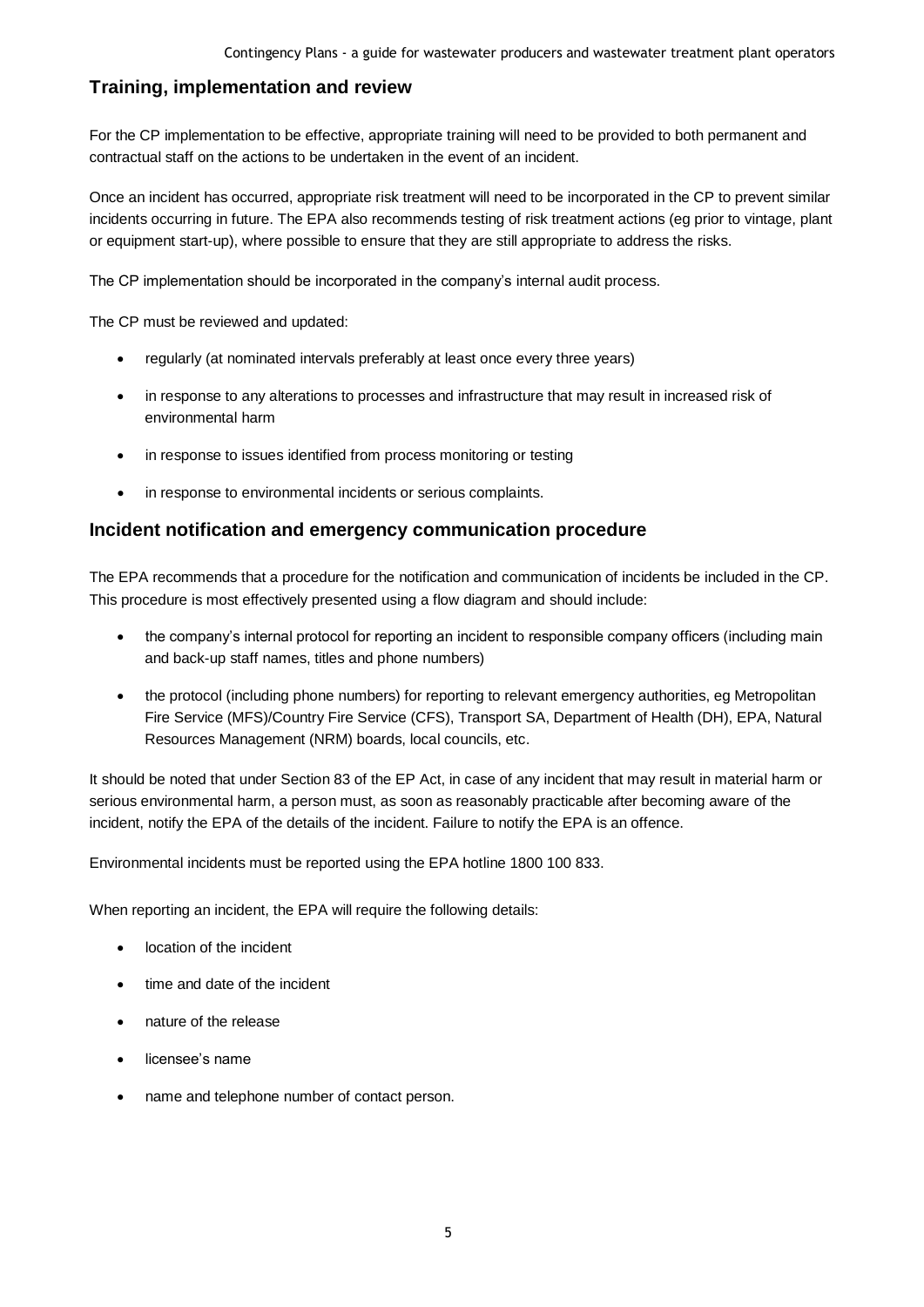## **Training, implementation and review**

For the CP implementation to be effective, appropriate training will need to be provided to both permanent and contractual staff on the actions to be undertaken in the event of an incident.

Once an incident has occurred, appropriate risk treatment will need to be incorporated in the CP to prevent similar incidents occurring in future. The EPA also recommends testing of risk treatment actions (eg prior to vintage, plant or equipment start-up), where possible to ensure that they are still appropriate to address the risks.

The CP implementation should be incorporated in the company's internal audit process.

The CP must be reviewed and updated:

- regularly (at nominated intervals preferably at least once every three years)
- in response to any alterations to processes and infrastructure that may result in increased risk of environmental harm
- in response to issues identified from process monitoring or testing
- in response to environmental incidents or serious complaints.

### **Incident notification and emergency communication procedure**

The EPA recommends that a procedure for the notification and communication of incidents be included in the CP. This procedure is most effectively presented using a flow diagram and should include:

- the company's internal protocol for reporting an incident to responsible company officers (including main and back-up staff names, titles and phone numbers)
- the protocol (including phone numbers) for reporting to relevant emergency authorities, eg Metropolitan Fire Service (MFS)/Country Fire Service (CFS), Transport SA, Department of Health (DH), EPA, Natural Resources Management (NRM) boards, local councils, etc.

It should be noted that under Section 83 of the EP Act, in case of any incident that may result in material harm or serious environmental harm, a person must, as soon as reasonably practicable after becoming aware of the incident, notify the EPA of the details of the incident. Failure to notify the EPA is an offence.

Environmental incidents must be reported using the EPA hotline 1800 100 833.

When reporting an incident, the EPA will require the following details:

- location of the incident
- time and date of the incident
- nature of the release
- licensee's name
- name and telephone number of contact person.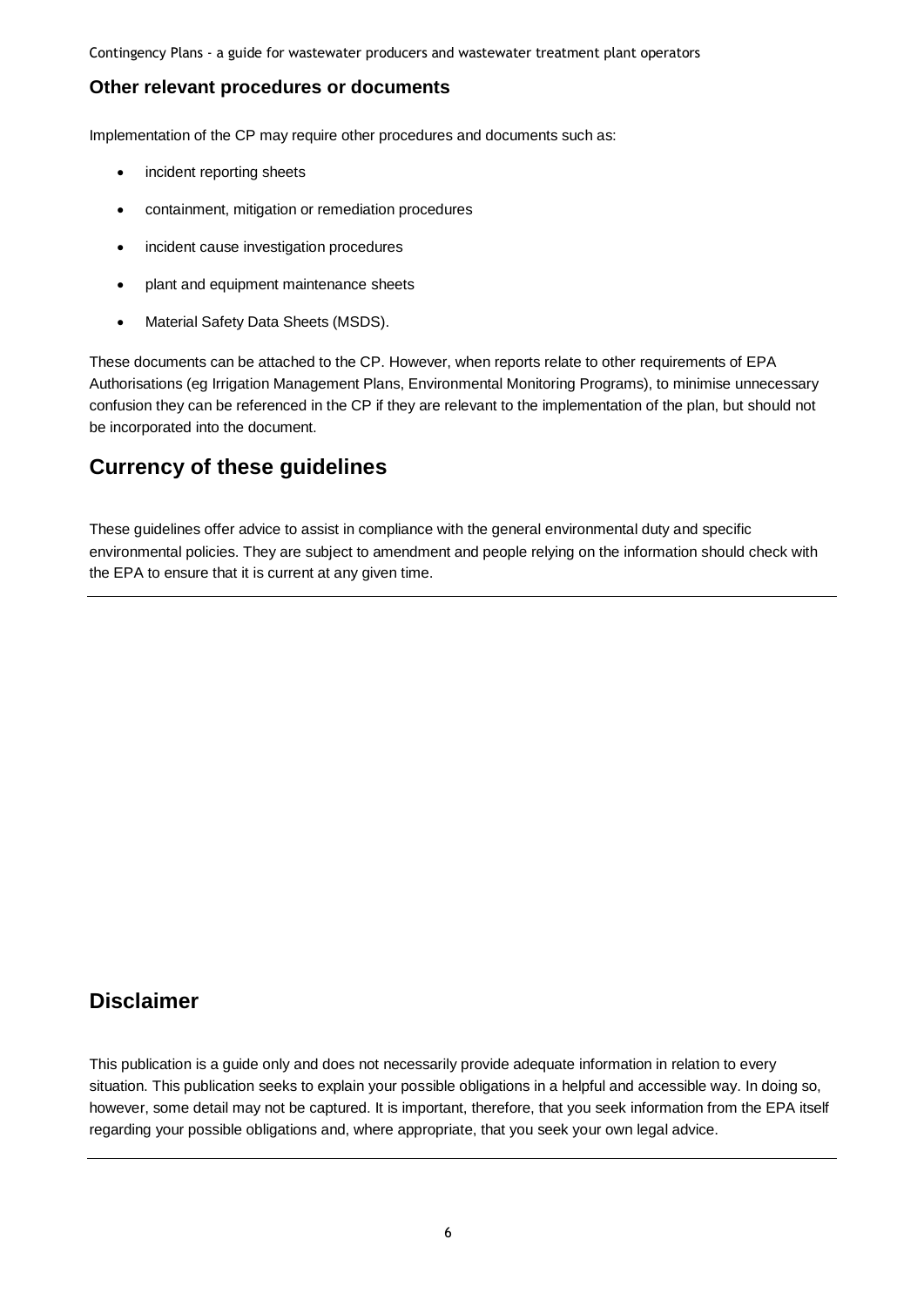### **Other relevant procedures or documents**

Implementation of the CP may require other procedures and documents such as:

- incident reporting sheets
- containment, mitigation or remediation procedures
- incident cause investigation procedures
- plant and equipment maintenance sheets
- Material Safety Data Sheets (MSDS).

These documents can be attached to the CP. However, when reports relate to other requirements of EPA Authorisations (eg Irrigation Management Plans, Environmental Monitoring Programs), to minimise unnecessary confusion they can be referenced in the CP if they are relevant to the implementation of the plan, but should not be incorporated into the document.

## **Currency of these guidelines**

These guidelines offer advice to assist in compliance with the general environmental duty and specific environmental policies. They are subject to amendment and people relying on the information should check with the EPA to ensure that it is current at any given time.

## **Disclaimer**

This publication is a guide only and does not necessarily provide adequate information in relation to every situation. This publication seeks to explain your possible obligations in a helpful and accessible way. In doing so, however, some detail may not be captured. It is important, therefore, that you seek information from the EPA itself regarding your possible obligations and, where appropriate, that you seek your own legal advice.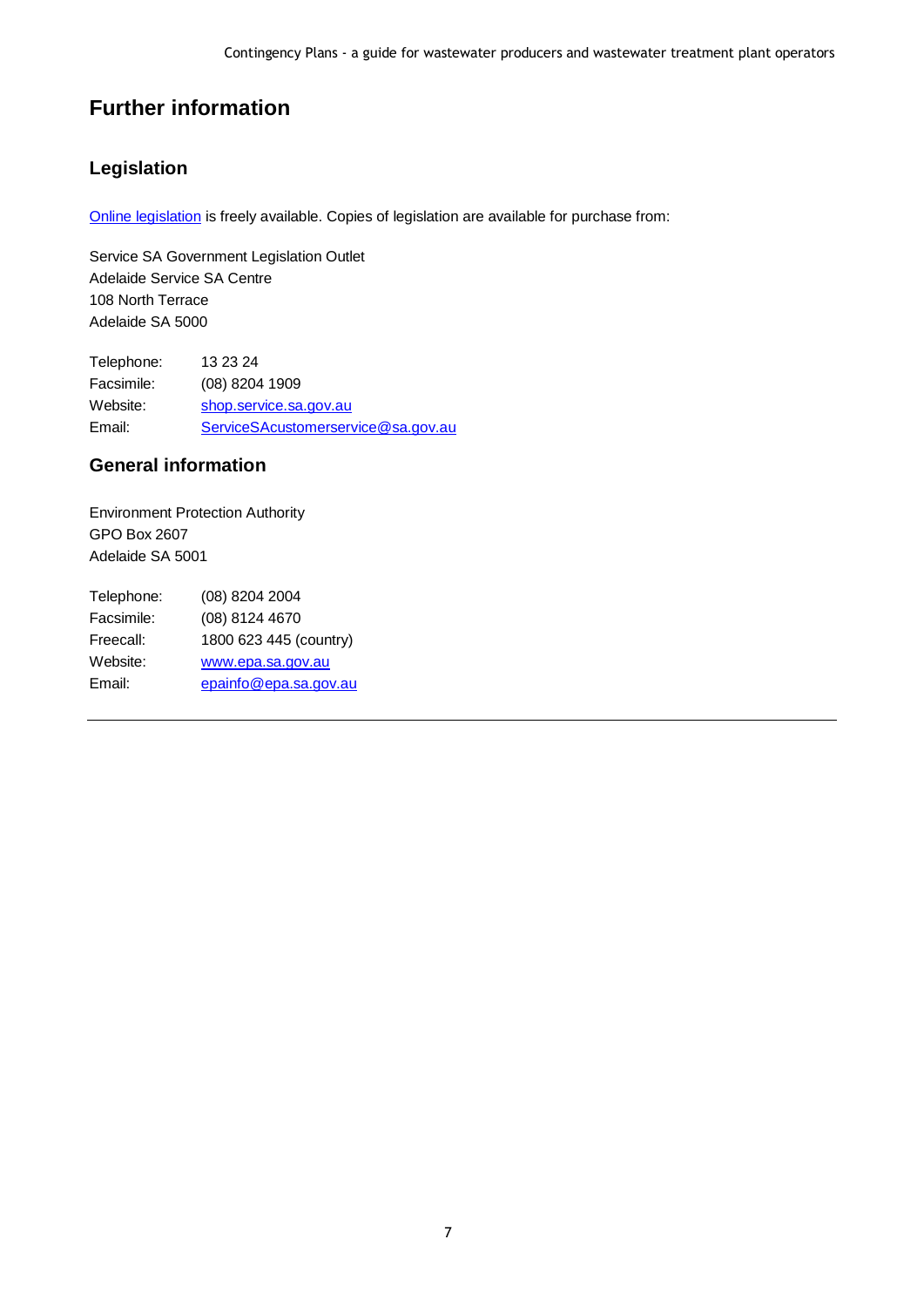## **Further information**

## **Legislation**

[Online legislation](http://www.legislation.sa.gov.au/) is freely available. Copies of legislation are available for purchase from:

Service SA Government Legislation Outlet Adelaide Service SA Centre 108 North Terrace Adelaide SA 5000

Telephone: 13 23 24 Facsimile: (08) 8204 1909 Website: [shop.service.sa.gov.au](http://shop.service.sa.gov.au/) Email: [ServiceSAcustomerservice@sa.gov.au](mailto:ServiceSAcustomerservice@sa.gov.au)

### **General information**

Environment Protection Authority GPO Box 2607 Adelaide SA 5001

| Telephone: | (08) 8204 2004         |
|------------|------------------------|
| Facsimile: | (08) 8124 4670         |
| Freecall:  | 1800 623 445 (country) |
| Website:   | www.epa.sa.gov.au      |
| Email:     | epainfo@epa.sa.gov.au  |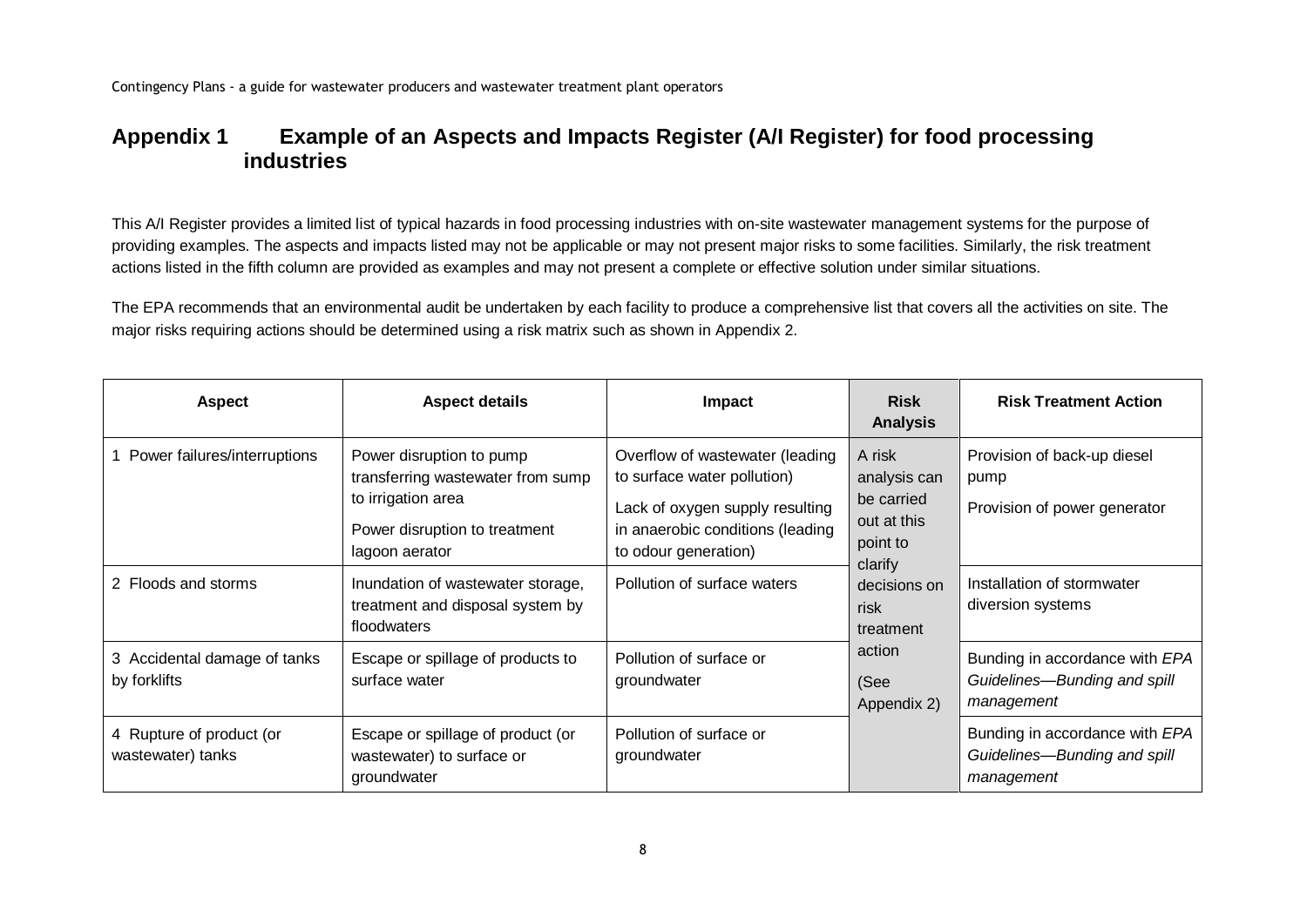## **Appendix 1 Example of an Aspects and Impacts Register (A/I Register) for food processing industries**

This A/I Register provides a limited list of typical hazards in food processing industries with on-site wastewater management systems for the purpose of providing examples. The aspects and impacts listed may not be applicable or may not present major risks to some facilities. Similarly, the risk treatment actions listed in the fifth column are provided as examples and may not present a complete or effective solution under similar situations.

The EPA recommends that an environmental audit be undertaken by each facility to produce a comprehensive list that covers all the activities on site. The major risks requiring actions should be determined using a risk matrix such as shown in Appendix 2.

| <b>Aspect</b>                                 | <b>Aspect details</b>                                                                                                                  | Impact                                                                                                                                                        | <b>Risk</b><br><b>Analysis</b>                                                                                                                   | <b>Risk Treatment Action</b>                                                 |                                                                              |                                                                     |
|-----------------------------------------------|----------------------------------------------------------------------------------------------------------------------------------------|---------------------------------------------------------------------------------------------------------------------------------------------------------------|--------------------------------------------------------------------------------------------------------------------------------------------------|------------------------------------------------------------------------------|------------------------------------------------------------------------------|---------------------------------------------------------------------|
| 1 Power failures/interruptions                | Power disruption to pump<br>transferring wastewater from sump<br>to irrigation area<br>Power disruption to treatment<br>lagoon aerator | Overflow of wastewater (leading<br>to surface water pollution)<br>Lack of oxygen supply resulting<br>in anaerobic conditions (leading<br>to odour generation) | A risk<br>analysis can<br>be carried<br>out at this<br>point to<br>clarify<br>decisions on<br>risk<br>treatment<br>action<br>(See<br>Appendix 2) |                                                                              |                                                                              | Provision of back-up diesel<br>pump<br>Provision of power generator |
| 2 Floods and storms                           | Inundation of wastewater storage,<br>treatment and disposal system by<br>floodwaters                                                   | Pollution of surface waters                                                                                                                                   |                                                                                                                                                  |                                                                              |                                                                              |                                                                     |
| 3 Accidental damage of tanks<br>by forklifts  | Escape or spillage of products to<br>surface water                                                                                     | Pollution of surface or<br>groundwater                                                                                                                        |                                                                                                                                                  |                                                                              | Bunding in accordance with EPA<br>Guidelines-Bunding and spill<br>management |                                                                     |
| 4 Rupture of product (or<br>wastewater) tanks | Escape or spillage of product (or<br>wastewater) to surface or<br>groundwater                                                          | Pollution of surface or<br>groundwater                                                                                                                        |                                                                                                                                                  | Bunding in accordance with EPA<br>Guidelines-Bunding and spill<br>management |                                                                              |                                                                     |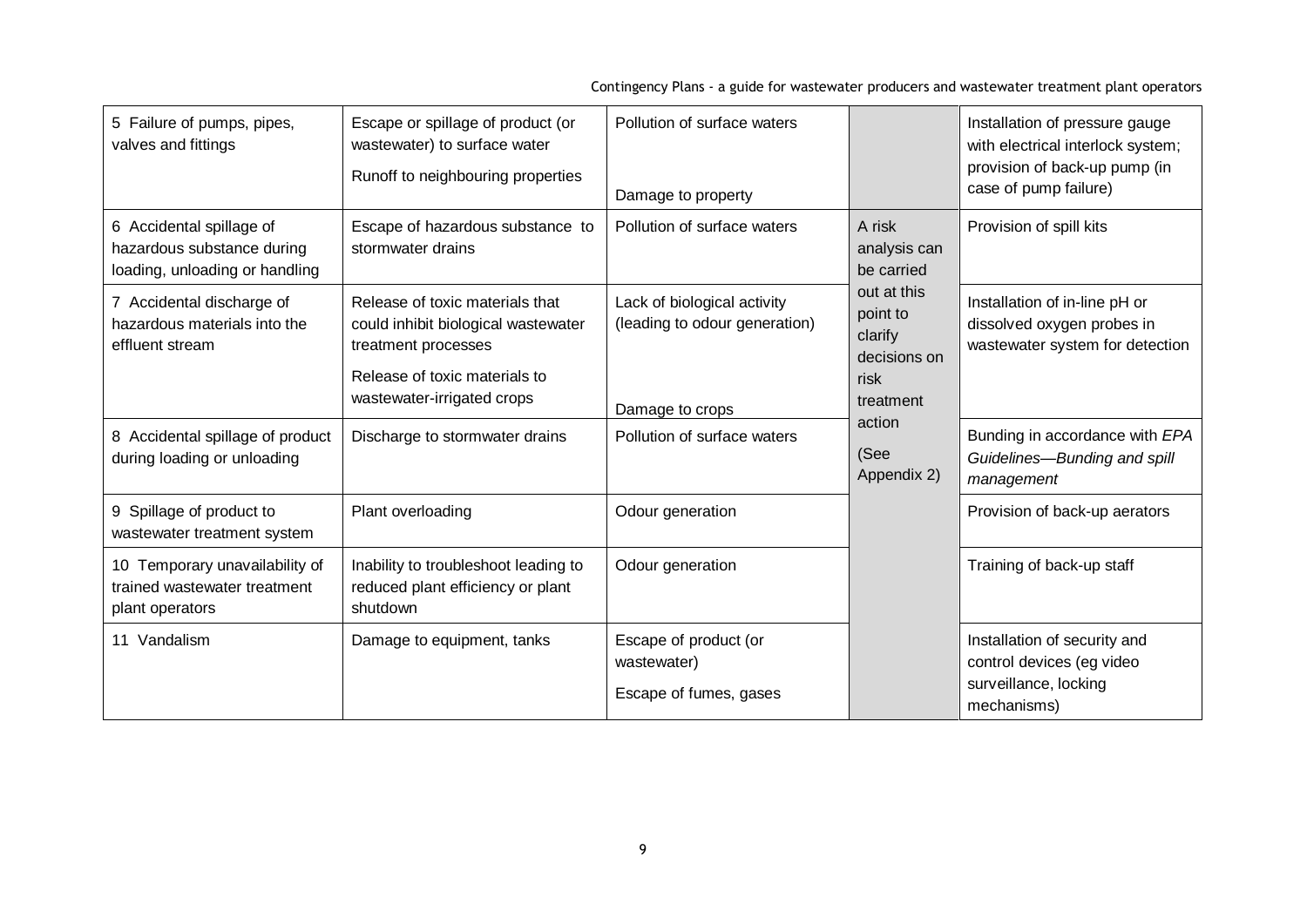| 5 Failure of pumps, pipes,<br>valves and fittings                                        | Escape or spillage of product (or<br>wastewater) to surface water<br>Runoff to neighbouring properties                                                       | Pollution of surface waters<br>Damage to property                               |                                                                         | Installation of pressure gauge<br>with electrical interlock system;<br>provision of back-up pump (in<br>case of pump failure) |
|------------------------------------------------------------------------------------------|--------------------------------------------------------------------------------------------------------------------------------------------------------------|---------------------------------------------------------------------------------|-------------------------------------------------------------------------|-------------------------------------------------------------------------------------------------------------------------------|
| 6 Accidental spillage of<br>hazardous substance during<br>loading, unloading or handling | Escape of hazardous substance to<br>stormwater drains                                                                                                        | Pollution of surface waters                                                     | A risk<br>analysis can<br>be carried                                    | Provision of spill kits                                                                                                       |
| 7 Accidental discharge of<br>hazardous materials into the<br>effluent stream             | Release of toxic materials that<br>could inhibit biological wastewater<br>treatment processes<br>Release of toxic materials to<br>wastewater-irrigated crops | Lack of biological activity<br>(leading to odour generation)<br>Damage to crops | out at this<br>point to<br>clarify<br>decisions on<br>risk<br>treatment | Installation of in-line pH or<br>dissolved oxygen probes in<br>wastewater system for detection                                |
| 8 Accidental spillage of product<br>during loading or unloading                          | Discharge to stormwater drains                                                                                                                               | Pollution of surface waters                                                     | action<br>(See<br>Appendix 2)                                           | Bunding in accordance with EPA<br>Guidelines-Bunding and spill<br>management                                                  |
| 9 Spillage of product to<br>wastewater treatment system                                  | Plant overloading                                                                                                                                            | Odour generation                                                                |                                                                         | Provision of back-up aerators                                                                                                 |
| 10 Temporary unavailability of<br>trained wastewater treatment<br>plant operators        | Inability to troubleshoot leading to<br>reduced plant efficiency or plant<br>shutdown                                                                        | Odour generation                                                                |                                                                         | Training of back-up staff                                                                                                     |
| 11 Vandalism                                                                             | Damage to equipment, tanks                                                                                                                                   | Escape of product (or<br>wastewater)<br>Escape of fumes, gases                  |                                                                         | Installation of security and<br>control devices (eg video<br>surveillance, locking<br>mechanisms)                             |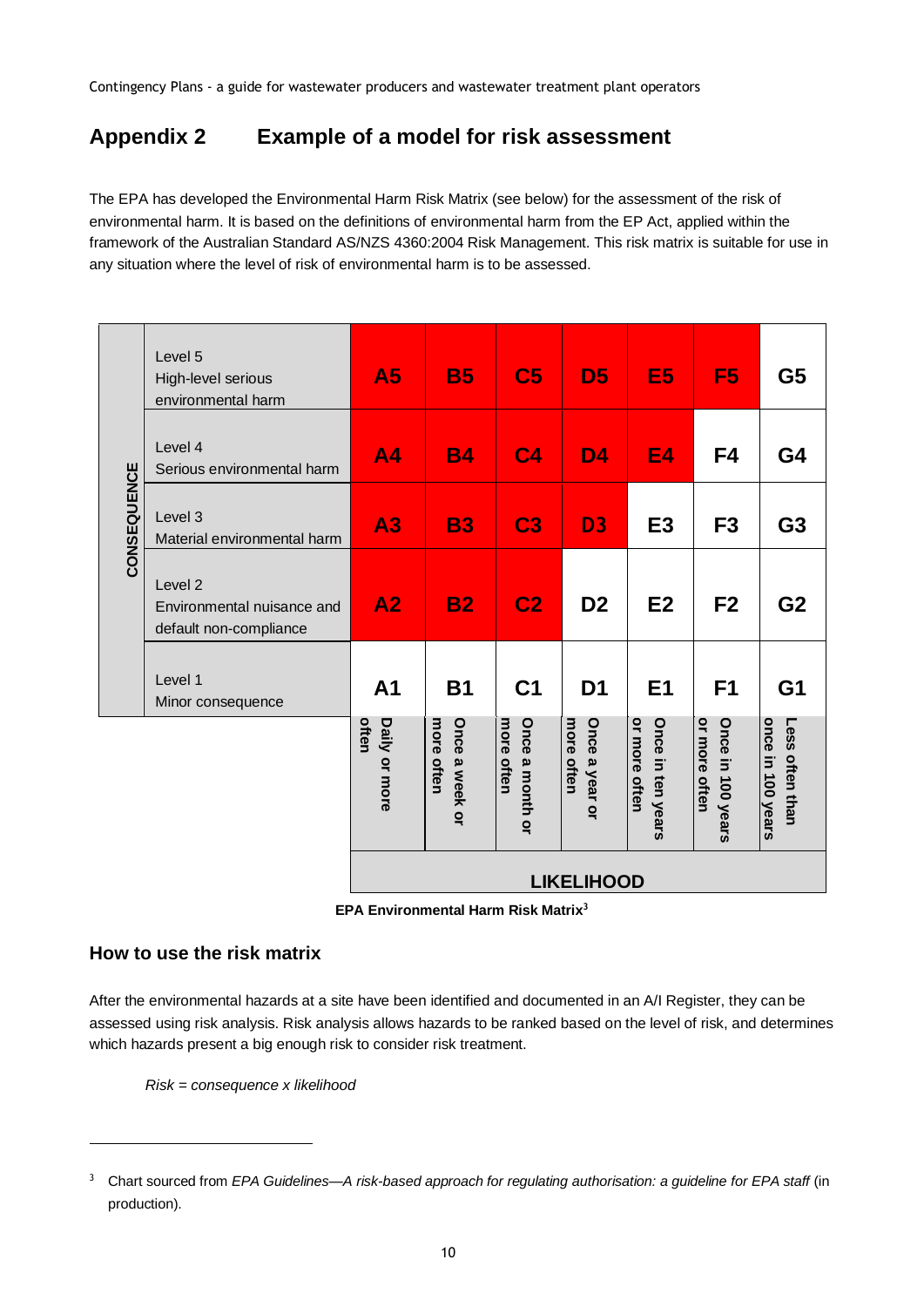## **Appendix 2 Example of a model for risk assessment**

The EPA has developed the Environmental Harm Risk Matrix (see below) for the assessment of the risk of environmental harm. It is based on the definitions of environmental harm from the EP Act, applied within the framework of the Australian Standard AS/NZS 4360:2004 Risk Management. This risk matrix is suitable for use in any situation where the level of risk of environmental harm is to be assessed.

|             | Level 5<br>High-level serious<br>environmental harm                        | <b>A5</b>              | <b>B5</b>                    | C <sub>5</sub>                | D <sub>5</sub>               | E <sub>5</sub>                     | F <sub>5</sub>                     | G5                                   |
|-------------|----------------------------------------------------------------------------|------------------------|------------------------------|-------------------------------|------------------------------|------------------------------------|------------------------------------|--------------------------------------|
|             | Level 4<br>Serious environmental harm                                      | A <sub>4</sub>         | <b>B4</b>                    | C <sub>4</sub>                | <b>D4</b>                    | <b>E4</b>                          | F4                                 | G4                                   |
| CONSEQUENCE | Level 3<br>Material environmental harm                                     | A3                     | <b>B3</b>                    | C <sub>3</sub>                | D <sub>3</sub>               | E <sub>3</sub>                     | F <sub>3</sub>                     | G <sub>3</sub>                       |
|             | Level <sub>2</sub><br>Environmental nuisance and<br>default non-compliance | A2                     | <b>B2</b>                    | C <sub>2</sub>                | D <sub>2</sub>               | E2                                 | F <sub>2</sub>                     | G <sub>2</sub>                       |
|             | Level 1<br>Minor consequence                                               | A <sub>1</sub>         | <b>B1</b>                    | C <sub>1</sub>                | D <sub>1</sub>               | E <sub>1</sub>                     | F <sub>1</sub>                     | G <sub>1</sub>                       |
|             |                                                                            | often<br>Daily or more | more often<br>Once a week or | more often<br>Once a month or | more often<br>Once a year or | or more often<br>Once in ten years | or more often<br>Once in 100 years | once in 100 years<br>Less often than |
|             |                                                                            |                        |                              |                               | <b>LIKELIHOOD</b>            |                                    |                                    |                                      |

**EPA Environmental Harm Risk Matrix<sup>3</sup>**

## **How to use the risk matrix**

l

After the environmental hazards at a site have been identified and documented in an A/I Register, they can be assessed using risk analysis. Risk analysis allows hazards to be ranked based on the level of risk, and determines which hazards present a big enough risk to consider risk treatment.

*Risk = consequence x likelihood* 

<sup>&</sup>lt;sup>3</sup> Chart sourced from *EPA Guidelines—A risk-based approach for regulating authorisation: a quideline for <i>EPA staff* (in production).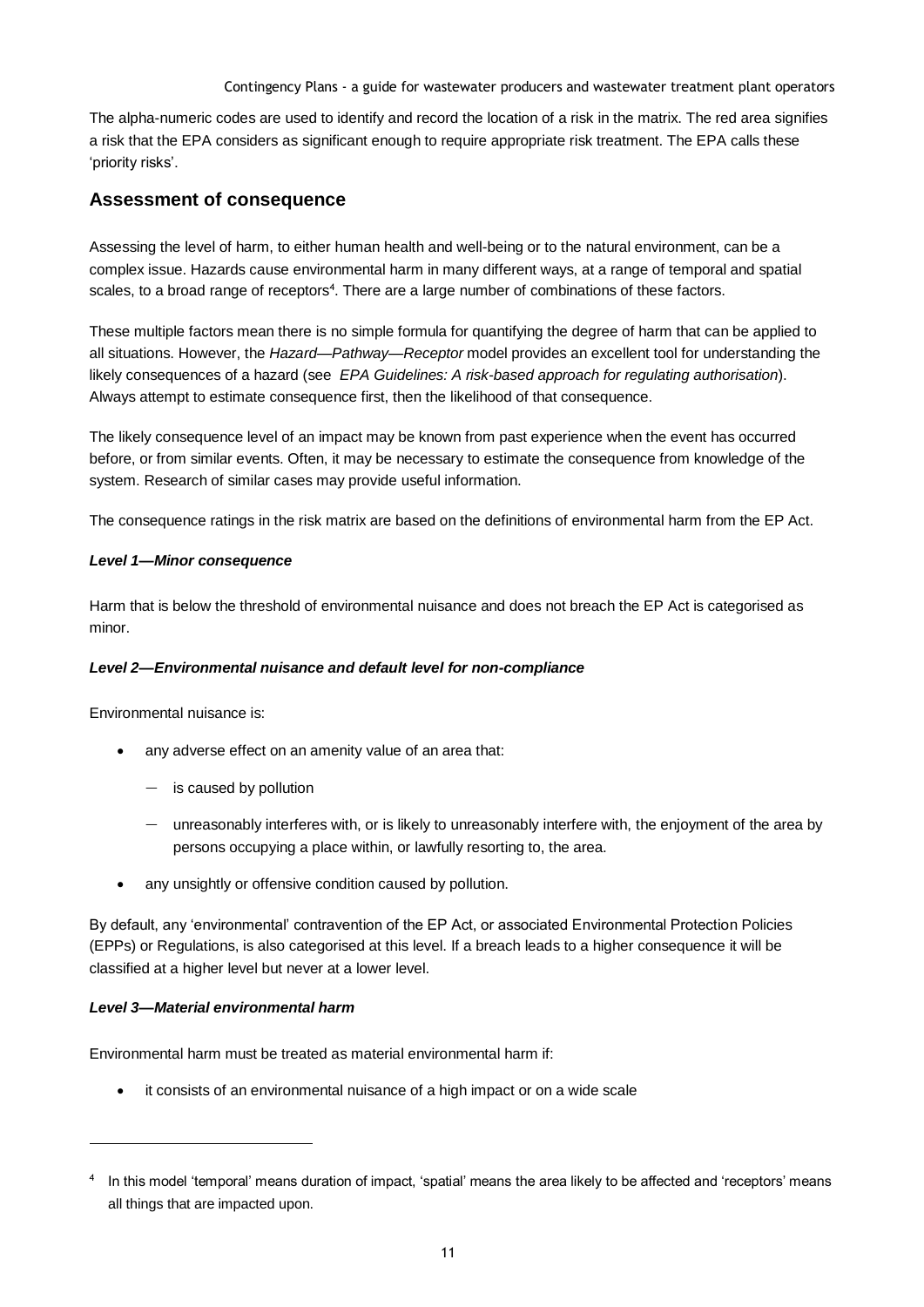The alpha-numeric codes are used to identify and record the location of a risk in the matrix. The red area signifies a risk that the EPA considers as significant enough to require appropriate risk treatment. The EPA calls these 'priority risks'.

#### **Assessment of consequence**

Assessing the level of harm, to either human health and well-being or to the natural environment, can be a complex issue. Hazards cause environmental harm in many different ways, at a range of temporal and spatial scales, to a broad range of receptors<sup>4</sup>. There are a large number of combinations of these factors.

These multiple factors mean there is no simple formula for quantifying the degree of harm that can be applied to all situations. However, the *Hazard—Pathway—Receptor* model provides an excellent tool for understanding the likely consequences of a hazard (see *EPA Guidelines: A risk-based approach for regulating authorisation*). Always attempt to estimate consequence first, then the likelihood of that consequence.

The likely consequence level of an impact may be known from past experience when the event has occurred before, or from similar events. Often, it may be necessary to estimate the consequence from knowledge of the system. Research of similar cases may provide useful information.

The consequence ratings in the risk matrix are based on the definitions of environmental harm from the EP Act.

#### *Level 1—Minor consequence*

Harm that is below the threshold of environmental nuisance and does not breach the EP Act is categorised as minor.

#### *Level 2—Environmental nuisance and default level for non-compliance*

Environmental nuisance is:

- any adverse effect on an amenity value of an area that:
	- $-$  is caused by pollution
	- unreasonably interferes with, or is likely to unreasonably interfere with, the enjoyment of the area by persons occupying a place within, or lawfully resorting to, the area.
- any unsightly or offensive condition caused by pollution.

By default, any 'environmental' contravention of the EP Act, or associated Environmental Protection Policies (EPPs) or Regulations, is also categorised at this level. If a breach leads to a higher consequence it will be classified at a higher level but never at a lower level.

#### *Level 3—Material environmental harm*

l

Environmental harm must be treated as material environmental harm if:

it consists of an environmental nuisance of a high impact or on a wide scale

<sup>4</sup> In this model 'temporal' means duration of impact, 'spatial' means the area likely to be affected and 'receptors' means all things that are impacted upon.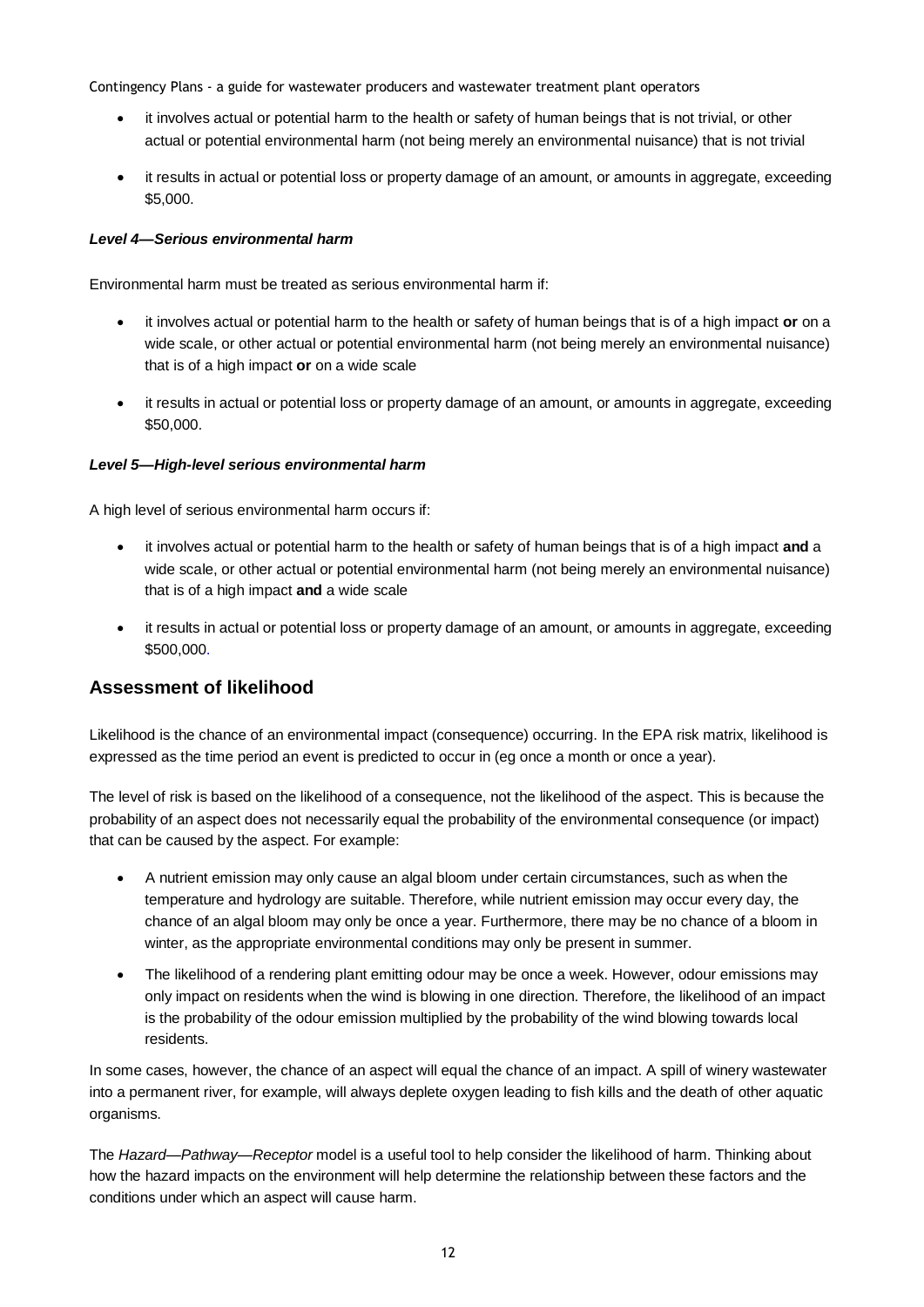- it involves actual or potential harm to the health or safety of human beings that is not trivial, or other actual or potential environmental harm (not being merely an environmental nuisance) that is not trivial
- it results in actual or potential loss or property damage of an amount, or amounts in aggregate, exceeding \$5,000.

#### *Level 4—Serious environmental harm*

Environmental harm must be treated as serious environmental harm if:

- it involves actual or potential harm to the health or safety of human beings that is of a high impact **or** on a wide scale, or other actual or potential environmental harm (not being merely an environmental nuisance) that is of a high impact **or** on a wide scale
- it results in actual or potential loss or property damage of an amount, or amounts in aggregate, exceeding \$50,000.

#### *Level 5—High-level serious environmental harm*

A high level of serious environmental harm occurs if:

- it involves actual or potential harm to the health or safety of human beings that is of a high impact **and** a wide scale, or other actual or potential environmental harm (not being merely an environmental nuisance) that is of a high impact **and** a wide scale
- it results in actual or potential loss or property damage of an amount, or amounts in aggregate, exceeding \$500,000.

## **Assessment of likelihood**

Likelihood is the chance of an environmental impact (consequence) occurring. In the EPA risk matrix, likelihood is expressed as the time period an event is predicted to occur in (eg once a month or once a year).

The level of risk is based on the likelihood of a consequence, not the likelihood of the aspect. This is because the probability of an aspect does not necessarily equal the probability of the environmental consequence (or impact) that can be caused by the aspect. For example:

- A nutrient emission may only cause an algal bloom under certain circumstances, such as when the temperature and hydrology are suitable. Therefore, while nutrient emission may occur every day, the chance of an algal bloom may only be once a year. Furthermore, there may be no chance of a bloom in winter, as the appropriate environmental conditions may only be present in summer.
- The likelihood of a rendering plant emitting odour may be once a week. However, odour emissions may only impact on residents when the wind is blowing in one direction. Therefore, the likelihood of an impact is the probability of the odour emission multiplied by the probability of the wind blowing towards local residents.

In some cases, however, the chance of an aspect will equal the chance of an impact. A spill of winery wastewater into a permanent river, for example, will always deplete oxygen leading to fish kills and the death of other aquatic organisms.

The *Hazard—Pathway—Receptor* model is a useful tool to help consider the likelihood of harm. Thinking about how the hazard impacts on the environment will help determine the relationship between these factors and the conditions under which an aspect will cause harm.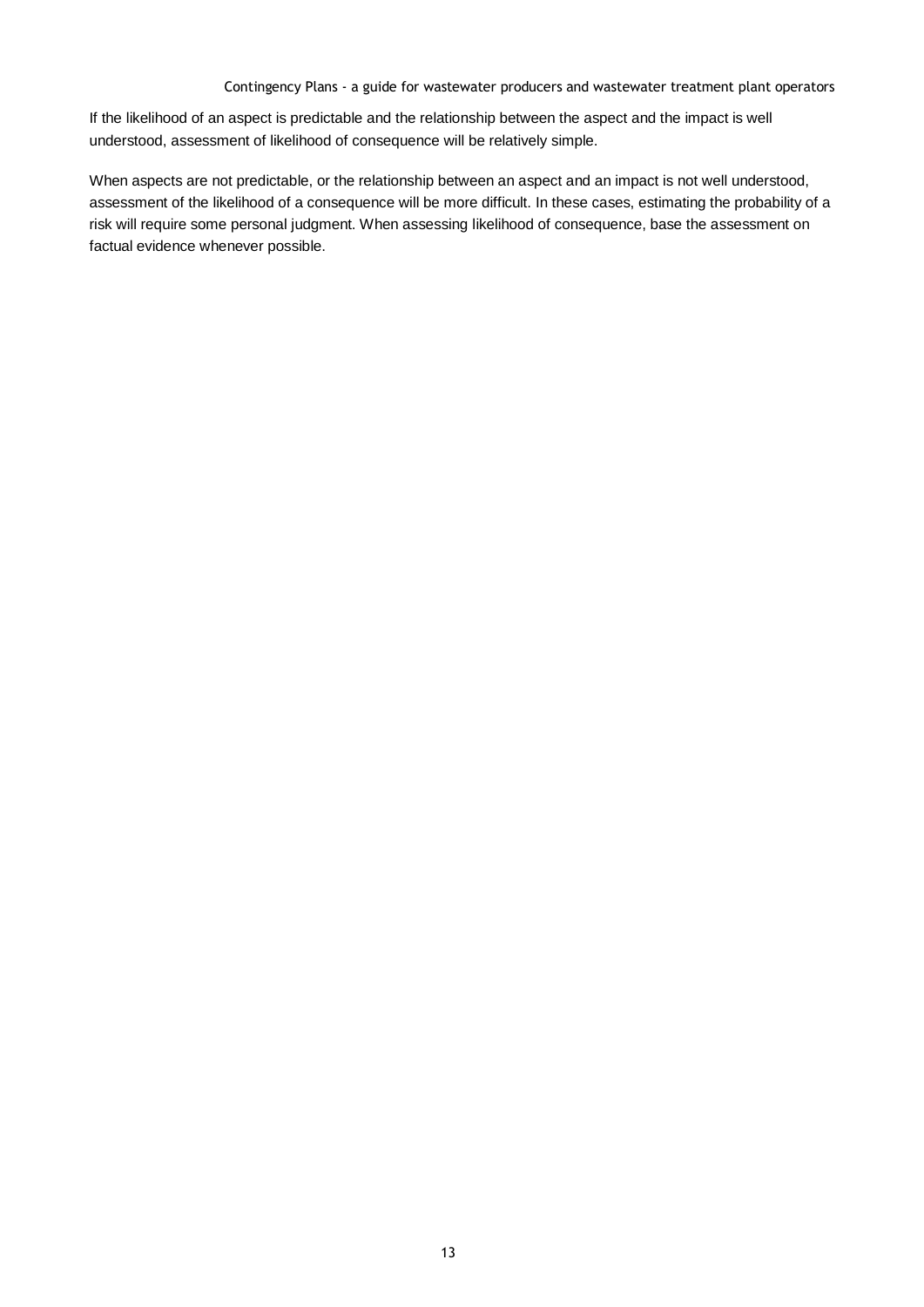If the likelihood of an aspect is predictable and the relationship between the aspect and the impact is well understood, assessment of likelihood of consequence will be relatively simple.

When aspects are not predictable, or the relationship between an aspect and an impact is not well understood, assessment of the likelihood of a consequence will be more difficult. In these cases, estimating the probability of a risk will require some personal judgment. When assessing likelihood of consequence, base the assessment on factual evidence whenever possible.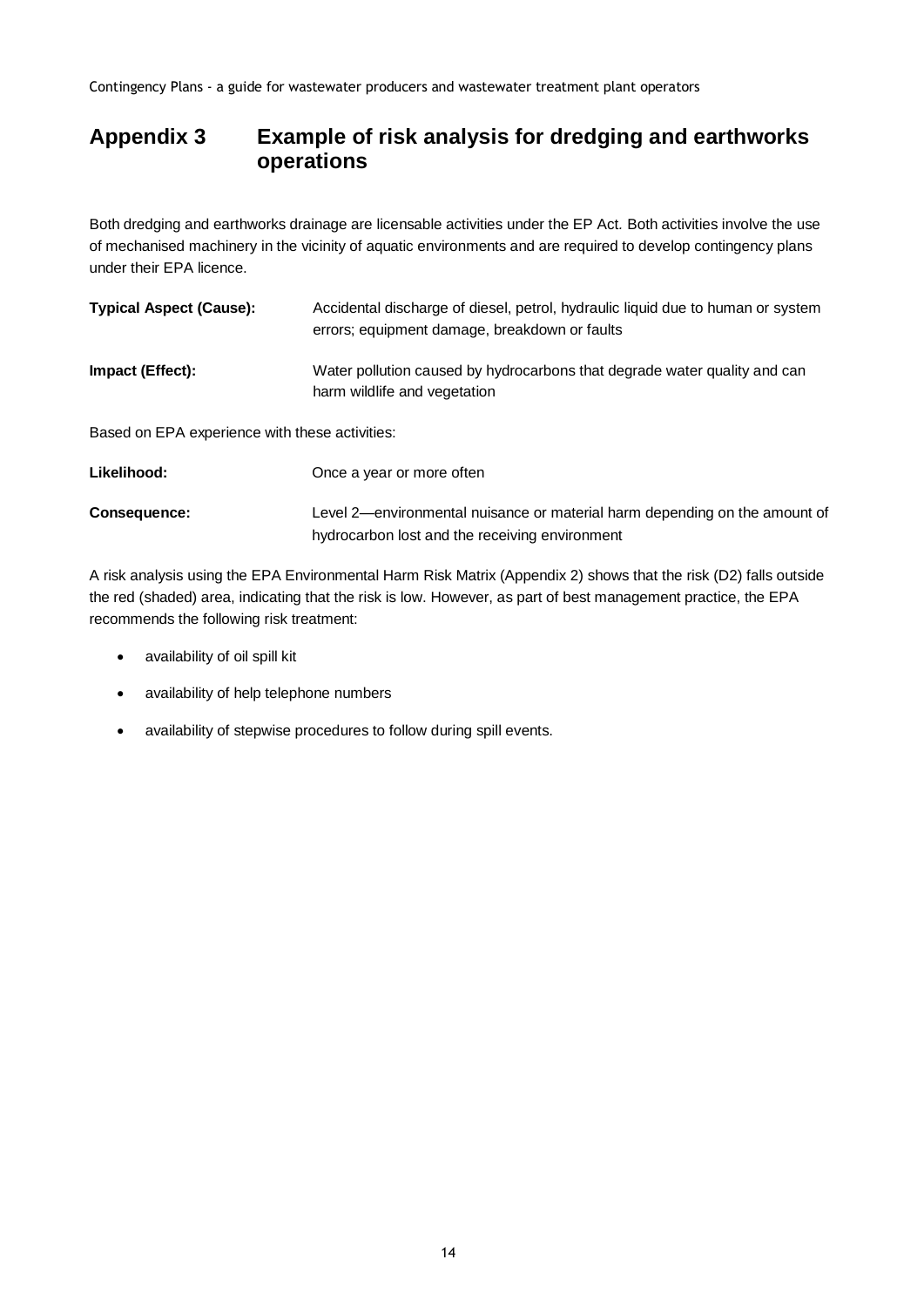## **Appendix 3 Example of risk analysis for dredging and earthworks operations**

Both dredging and earthworks drainage are licensable activities under the EP Act*.* Both activities involve the use of mechanised machinery in the vicinity of aquatic environments and are required to develop contingency plans under their EPA licence.

| <b>Typical Aspect (Cause):</b>                 | Accidental discharge of diesel, petrol, hydraulic liquid due to human or system<br>errors; equipment damage, breakdown or faults |
|------------------------------------------------|----------------------------------------------------------------------------------------------------------------------------------|
| <b>Impact (Effect):</b>                        | Water pollution caused by hydrocarbons that degrade water quality and can<br>harm wildlife and vegetation                        |
| Based on EPA experience with these activities: |                                                                                                                                  |
| Likelihood:                                    | Once a year or more often                                                                                                        |
| Consequence:                                   | Level 2—environmental nuisance or material harm depending on the amount of                                                       |

A risk analysis using the EPA Environmental Harm Risk Matrix (Appendix 2) shows that the risk (D2) falls outside the red (shaded) area, indicating that the risk is low. However, as part of best management practice, the EPA recommends the following risk treatment:

hydrocarbon lost and the receiving environment

- availability of oil spill kit
- availability of help telephone numbers
- availability of stepwise procedures to follow during spill events.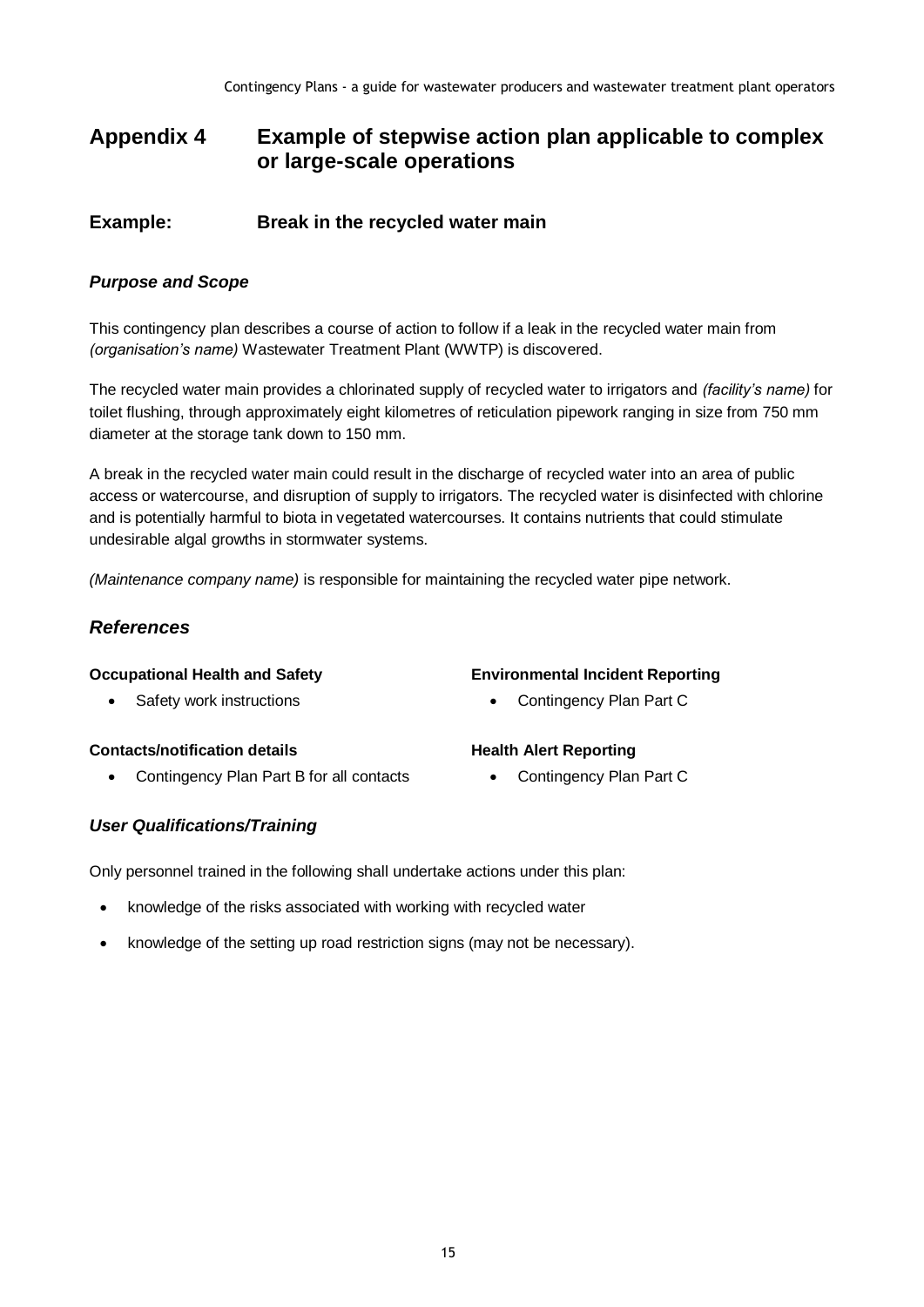## **Appendix 4 Example of stepwise action plan applicable to complex or large-scale operations**

### **Example: Break in the recycled water main**

#### *Purpose and Scope*

This contingency plan describes a course of action to follow if a leak in the recycled water main from *(organisation's name)* Wastewater Treatment Plant (WWTP) is discovered.

The recycled water main provides a chlorinated supply of recycled water to irrigators and *(facility's name)* for toilet flushing, through approximately eight kilometres of reticulation pipework ranging in size from 750 mm diameter at the storage tank down to 150 mm.

A break in the recycled water main could result in the discharge of recycled water into an area of public access or watercourse, and disruption of supply to irrigators. The recycled water is disinfected with chlorine and is potentially harmful to biota in vegetated watercourses. It contains nutrients that could stimulate undesirable algal growths in stormwater systems.

*(Maintenance company name)* is responsible for maintaining the recycled water pipe network.

### *References*

#### **Occupational Health and Safety**

Safety work instructions

#### **Contacts/notification details**

• Contingency Plan Part B for all contacts

#### *User Qualifications/Training*

Only personnel trained in the following shall undertake actions under this plan:

- knowledge of the risks associated with working with recycled water
- knowledge of the setting up road restriction signs (may not be necessary).

#### **Environmental Incident Reporting**

Contingency Plan Part C

#### **Health Alert Reporting**

• Contingency Plan Part C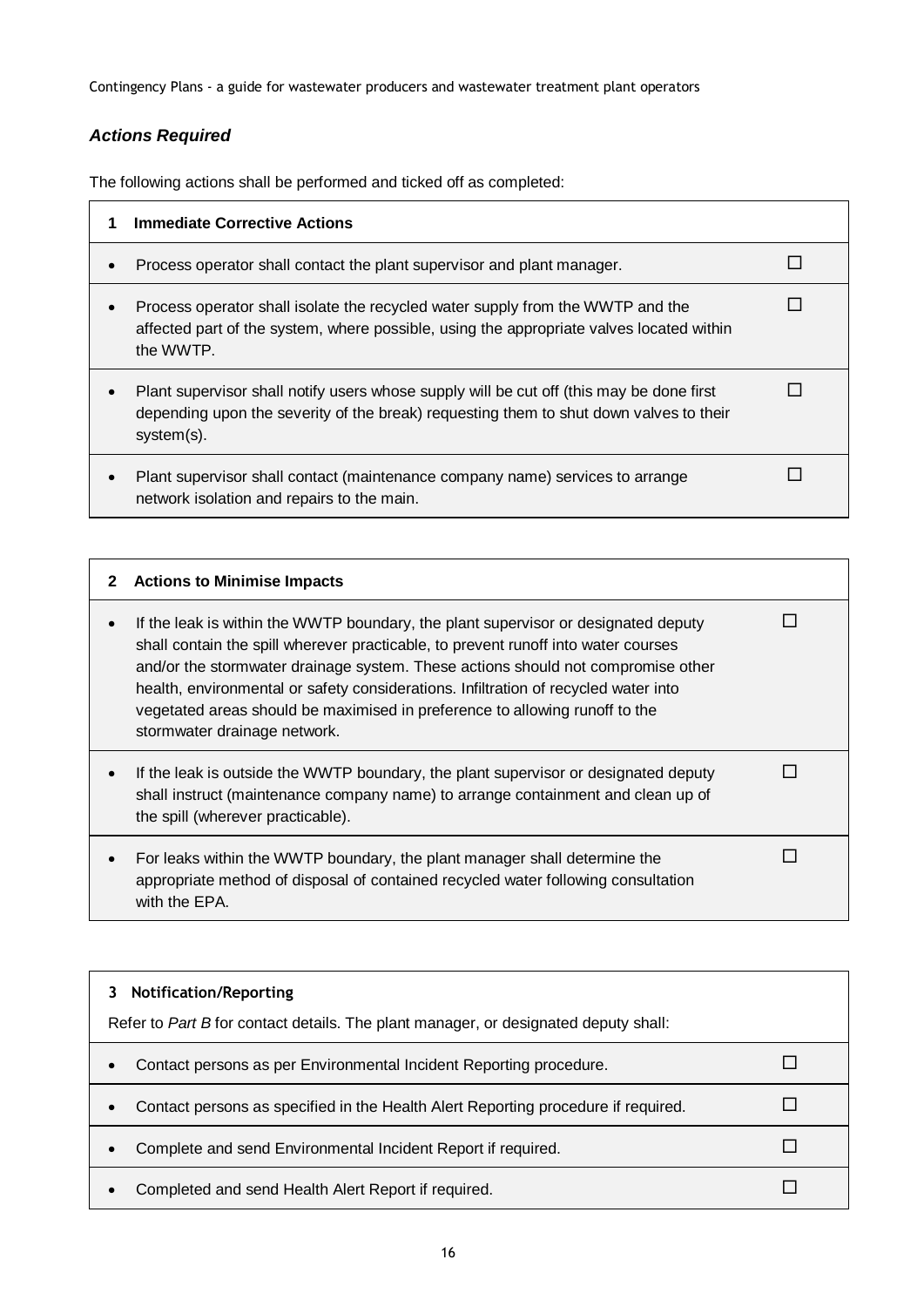## *Actions Required*

The following actions shall be performed and ticked off as completed:

| <b>Immediate Corrective Actions</b>                                                                                                                                                              |  |
|--------------------------------------------------------------------------------------------------------------------------------------------------------------------------------------------------|--|
| Process operator shall contact the plant supervisor and plant manager.                                                                                                                           |  |
| Process operator shall isolate the recycled water supply from the WWTP and the<br>affected part of the system, where possible, using the appropriate valves located within<br>the WWTP.          |  |
| Plant supervisor shall notify users whose supply will be cut off (this may be done first<br>depending upon the severity of the break) requesting them to shut down valves to their<br>system(s). |  |
| Plant supervisor shall contact (maintenance company name) services to arrange<br>network isolation and repairs to the main.                                                                      |  |

| 2 | <b>Actions to Minimise Impacts</b>                                                                                                                                                                                                                                                                                                                                                                                                                                 |  |
|---|--------------------------------------------------------------------------------------------------------------------------------------------------------------------------------------------------------------------------------------------------------------------------------------------------------------------------------------------------------------------------------------------------------------------------------------------------------------------|--|
|   | If the leak is within the WWTP boundary, the plant supervisor or designated deputy<br>shall contain the spill wherever practicable, to prevent runoff into water courses<br>and/or the stormwater drainage system. These actions should not compromise other<br>health, environmental or safety considerations. Infiltration of recycled water into<br>vegetated areas should be maximised in preference to allowing runoff to the<br>stormwater drainage network. |  |
|   | If the leak is outside the WWTP boundary, the plant supervisor or designated deputy<br>shall instruct (maintenance company name) to arrange containment and clean up of<br>the spill (wherever practicable).                                                                                                                                                                                                                                                       |  |
|   | For leaks within the WWTP boundary, the plant manager shall determine the<br>appropriate method of disposal of contained recycled water following consultation<br>with the EPA.                                                                                                                                                                                                                                                                                    |  |

| <b>Notification/Reporting</b><br>Refer to Part B for contact details. The plant manager, or designated deputy shall: |  |
|----------------------------------------------------------------------------------------------------------------------|--|
| Contact persons as per Environmental Incident Reporting procedure.                                                   |  |
| Contact persons as specified in the Health Alert Reporting procedure if required.                                    |  |
| Complete and send Environmental Incident Report if required.                                                         |  |
| Completed and send Health Alert Report if required.                                                                  |  |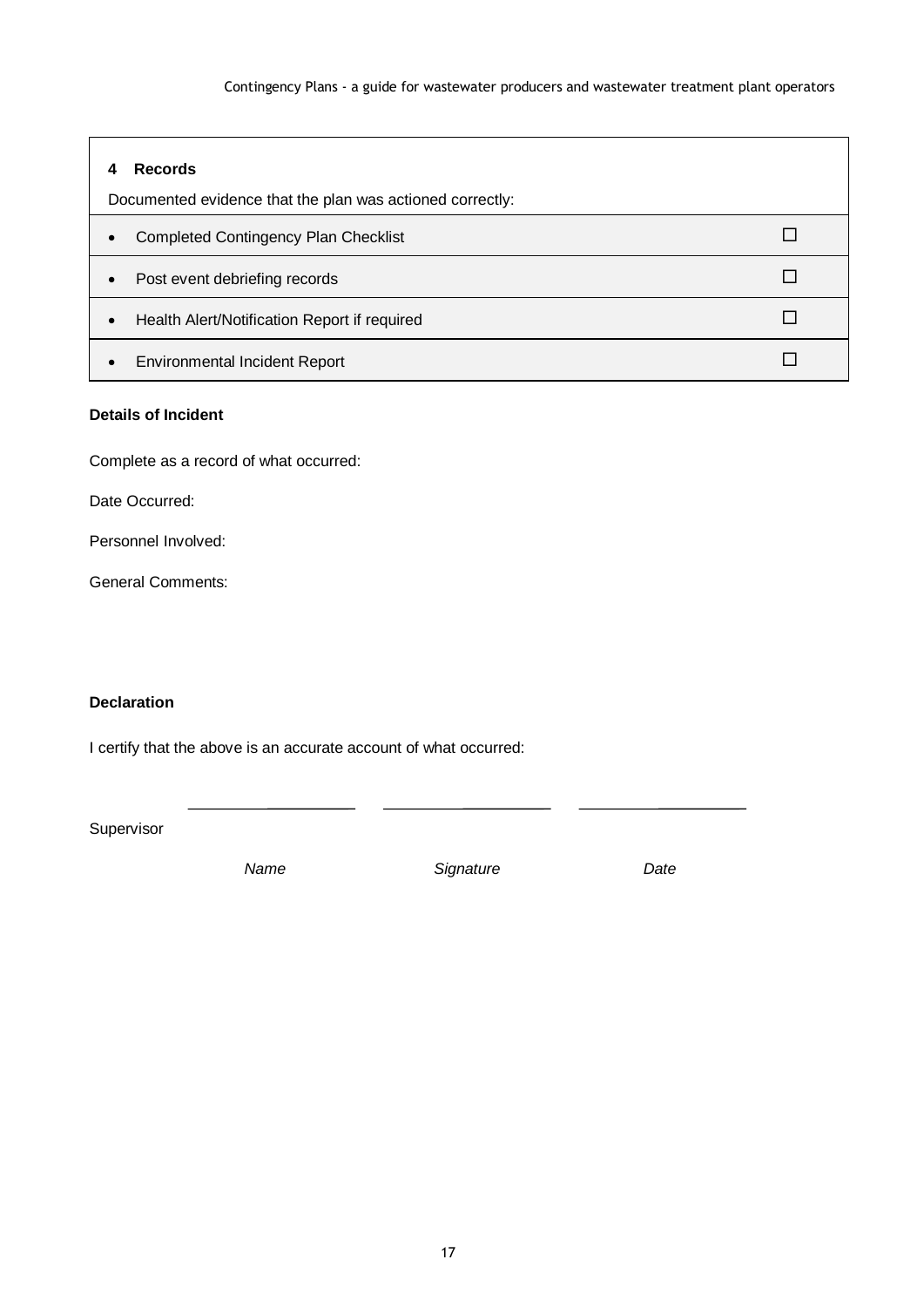| <b>Records</b>                                            |  |
|-----------------------------------------------------------|--|
| Documented evidence that the plan was actioned correctly: |  |
| <b>Completed Contingency Plan Checklist</b><br>$\bullet$  |  |
| Post event debriefing records<br>$\bullet$                |  |
| Health Alert/Notification Report if required<br>$\bullet$ |  |
| <b>Environmental Incident Report</b>                      |  |

#### **Details of Incident**

Complete as a record of what occurred:

Date Occurred:

Personnel Involved:

General Comments:

#### **Declaration**

I certify that the above is an accurate account of what occurred:

Supervisor

 *Name Signature Date*